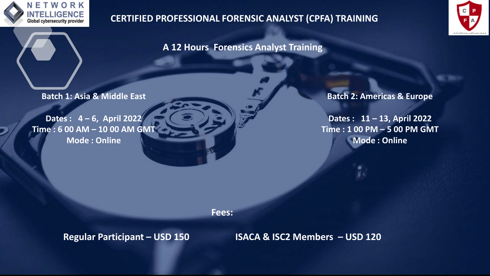

## **CERTIFIED PROFESSIONAL FORENSIC ANALYST (CPFA) TRAINING**



**A 12 Hours Forensics Analyst Training**

**Batch 1: Asia & Middle East**

**Dates : 4 – 6, April 2022 Time : 6 00 AM – 10 00 AM GMT Mode : Online** 

**Batch 2: Americas & Europe**

**Dates : 11 – 13, April 2022 Time : 1 00 PM – 5 00 PM GMT Mode : Online** 

**Fees:**

**Regular Participant – USD 150 ISACA & ISC2 Members – USD 120**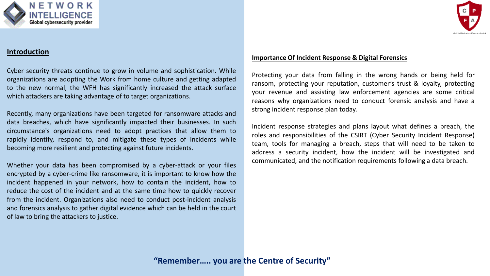

#### **Introduction**

Cyber security threats continue to grow in volume and sophistication. While organizations are adopting the Work from home culture and getting adapted to the new normal, the WFH has significantly increased the attack surface which attackers are taking advantage of to target organizations.

Recently, many organizations have been targeted for ransomware attacks and data breaches, which have significantly impacted their businesses. In such circumstance's organizations need to adopt practices that allow them to rapidly identify, respond to, and mitigate these types of incidents while becoming more resilient and protecting against future incidents.

Whether your data has been compromised by a cyber-attack or your files encrypted by a cyber-crime like ransomware, it is important to know how the incident happened in your network, how to contain the incident, how to reduce the cost of the incident and at the same time how to quickly recover from the incident. Organizations also need to conduct post-incident analysis and forensics analysis to gather digital evidence which can be held in the court of law to bring the attackers to justice.

#### **Importance Of Incident Response & Digital Forensics**

Protecting your data from falling in the wrong hands or being held for ransom, protecting your reputation, customer's trust & loyalty, protecting your revenue and assisting law enforcement agencies are some critical reasons why organizations need to conduct forensic analysis and have a strong incident response plan today.

Incident response strategies and plans layout what defines a breach, the roles and responsibilities of the CSIRT (Cyber Security Incident Response) team, tools for managing a breach, steps that will need to be taken to address a security incident, how the incident will be investigated and communicated, and the notification requirements following a data breach.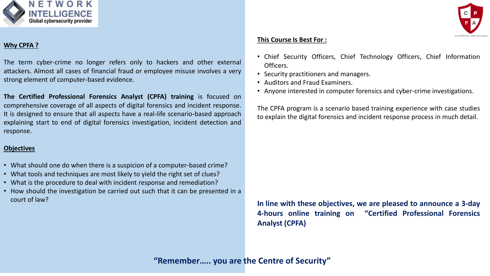

#### **Why CPFA ?**

The term cyber-crime no longer refers only to hackers and other external attackers. Almost all cases of financial fraud or employee misuse involves a very strong element of computer-based evidence.

**The Certified Professional Forensics Analyst (CPFA) training** is focused on comprehensive coverage of all aspects of digital forensics and incident response. It is designed to ensure that all aspects have a real-life scenario-based approach explaining start to end of digital forensics investigation, incident detection and response.

#### **Objectives**

- What should one do when there is a suspicion of a computer-based crime?
- What tools and techniques are most likely to yield the right set of clues?
- What is the procedure to deal with incident response and remediation?
- How should the investigation be carried out such that it can be presented in a court of law?



#### **This Course Is Best For :**

- Chief Security Officers, Chief Technology Officers, Chief Information Officers.
- Security practitioners and managers.
- Auditors and Fraud Examiners.
- Anyone interested in computer forensics and cyber-crime investigations.

The CPFA program is a scenario based training experience with case studies to explain the digital forensics and incident response process in much detail.

**In line with these objectives, we are pleased to announce a 3-day 4-hours online training on "Certified Professional Forensics Analyst (CPFA)**

**"Remember….. you are the Centre of Security"**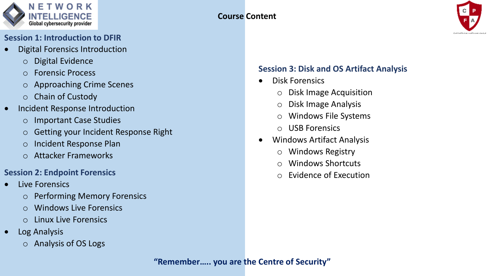

### **PART 1: Session 1: Introduction to DFIR**

- **•** Digital Forensics Introduction
	- o Digital Evidence
	- o Forensic Process
	- o Approaching Crime Scenes
	- o Chain of Custody
- Incident Response Introduction
	- o Important Case Studies
		- o Getting your Incident Response Right
		- o Incident Response Plan
	- **Session 2: Internal Response Attacker Frameworks**  $\sigma$  redefier Frameworks

## **Session 2: Endpoint Forensics**

- Live Forensics
	- o Performing Memory Forensics
	- o Windows Live Forensics
	- o Linux Live Forensics
- Log Analysis **Fundalistic Response Rundo** 
	- o Analysis of OS Logs



## **Session 3: Disk and OS Artifact Analysis**

- Disk Forensics
	- o Disk Image Acquisition
	- o Disk Image Analysis
	- o Windows File Systems
	- o USB Forensics
- Windows Artifact Analysis
	- o Windows Registry
	- o Windows Shortcuts
	- o Evidence of Execution

#### **"Remember….. you are the Centre of Security"**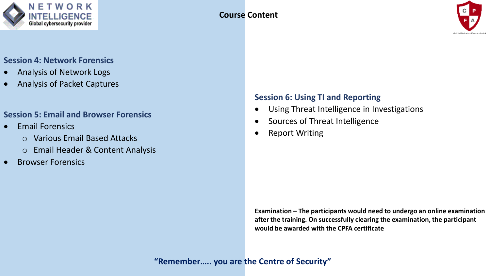



# **Session 4: Network Forensics**

- Analysis of Network Logs
- Analysis of Packet Captures

## • Email Misuse. **Session 5: Email and Browser Forensics**

- Email Forensics
	- o Various Email Based Attacks
	- o Email Header & Content Analysis
- Browser Forensics

### **Session 6: Using TI and Reporting**

- Using Threat Intelligence in Investigations
- Sources of Threat Intelligence
- **Report Writing**

**Examination – The participants would need to undergo an online examination after the training. On successfully clearing the examination, the participant would be awarded with the CPFA certificate**

## **"Remember….. you are the Centre of Security"**